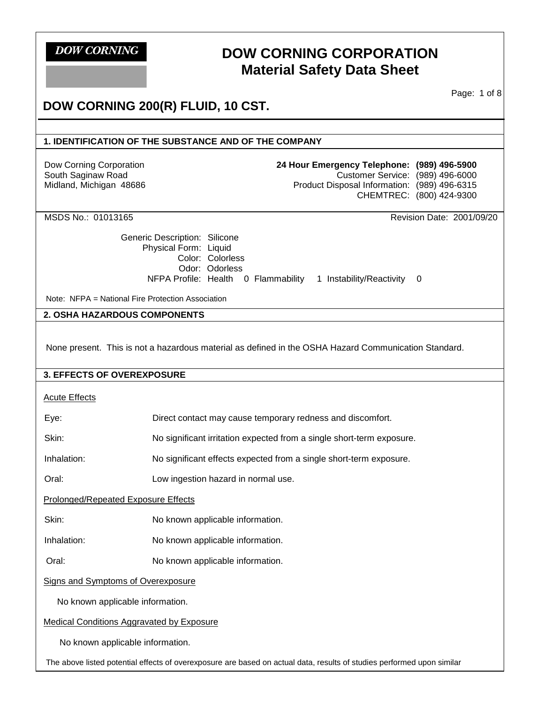# **DOW CORNING CORPORATION Material Safety Data Sheet**

Page: 1 of 8

# **DOW CORNING 200(R) FLUID, 10 CST.**

## **1. IDENTIFICATION OF THE SUBSTANCE AND OF THE COMPANY**

Dow Corning Corporation South Saginaw Road Midland, Michigan 48686

| 24 Hour Emergency Telephone: (989) 496-5900  |                          |
|----------------------------------------------|--------------------------|
| Customer Service: (989) 496-6000             |                          |
| Product Disposal Information: (989) 496-6315 |                          |
|                                              | CHEMTREC: (800) 424-9300 |
|                                              |                          |

MSDS No.: 01013165 Revision Date: 2001/09/20

Generic Description: Silicone Physical Form: Liquid Color: Colorless Odor: Odorless NFPA Profile: Health 0 Flammability 1 Instability/Reactivity 0

Note: NFPA = National Fire Protection Association

#### **2. OSHA HAZARDOUS COMPONENTS**

None present. This is not a hazardous material as defined in the OSHA Hazard Communication Standard.

#### **3. EFFECTS OF OVEREXPOSURE**

Acute Effects

| Eye:                                                                                                                   | Direct contact may cause temporary redness and discomfort.            |  |  |
|------------------------------------------------------------------------------------------------------------------------|-----------------------------------------------------------------------|--|--|
| Skin:                                                                                                                  | No significant irritation expected from a single short-term exposure. |  |  |
| Inhalation:                                                                                                            | No significant effects expected from a single short-term exposure.    |  |  |
| Oral:                                                                                                                  | Low ingestion hazard in normal use.                                   |  |  |
| <b>Prolonged/Repeated Exposure Effects</b>                                                                             |                                                                       |  |  |
| Skin:                                                                                                                  | No known applicable information.                                      |  |  |
| Inhalation:                                                                                                            | No known applicable information.                                      |  |  |
| Oral:                                                                                                                  | No known applicable information.                                      |  |  |
| <b>Signs and Symptoms of Overexposure</b>                                                                              |                                                                       |  |  |
| No known applicable information.                                                                                       |                                                                       |  |  |
| <b>Medical Conditions Aggravated by Exposure</b>                                                                       |                                                                       |  |  |
| No known applicable information.                                                                                       |                                                                       |  |  |
| The above listed potential effects of overexposure are based on actual data, results of studies performed upon similar |                                                                       |  |  |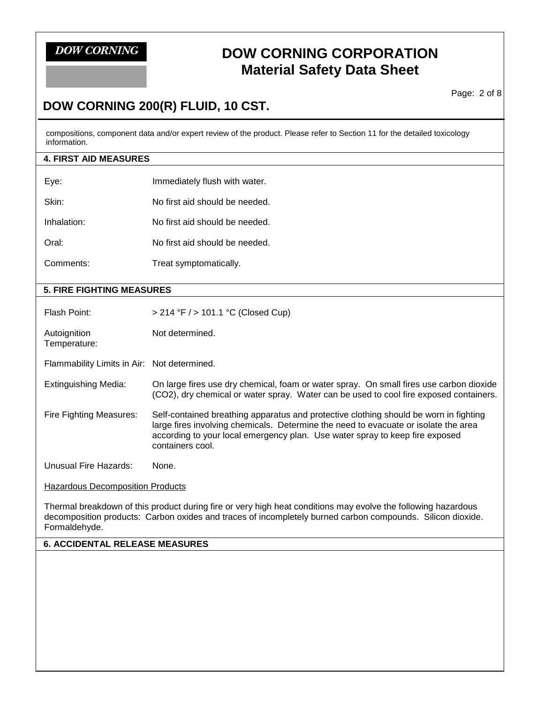# **DOW CORNING CORPORATION Material Safety Data Sheet**

Page: 2 of 8

# **DOW CORNING 200(R) FLUID, 10 CST.**

compositions, component data and/or expert review of the product. Please refer to Section 11 for the detailed toxicology information.

| <b>4. FIRST AID MEASURES</b>                |                                                                                                                                                                                                                                                                                  |  |
|---------------------------------------------|----------------------------------------------------------------------------------------------------------------------------------------------------------------------------------------------------------------------------------------------------------------------------------|--|
| Eye:                                        | Immediately flush with water.                                                                                                                                                                                                                                                    |  |
| Skin:                                       | No first aid should be needed.                                                                                                                                                                                                                                                   |  |
| Inhalation:                                 | No first aid should be needed.                                                                                                                                                                                                                                                   |  |
| Oral:                                       | No first aid should be needed.                                                                                                                                                                                                                                                   |  |
| Comments:                                   | Treat symptomatically.                                                                                                                                                                                                                                                           |  |
| <b>5. FIRE FIGHTING MEASURES</b>            |                                                                                                                                                                                                                                                                                  |  |
|                                             |                                                                                                                                                                                                                                                                                  |  |
| Flash Point:                                | $> 214$ °F $/$ > 101.1 °C (Closed Cup)                                                                                                                                                                                                                                           |  |
| Autoignition<br>Temperature:                | Not determined.                                                                                                                                                                                                                                                                  |  |
| Flammability Limits in Air: Not determined. |                                                                                                                                                                                                                                                                                  |  |
| <b>Extinguishing Media:</b>                 | On large fires use dry chemical, foam or water spray. On small fires use carbon dioxide<br>(CO2), dry chemical or water spray. Water can be used to cool fire exposed containers.                                                                                                |  |
| Fire Fighting Measures:                     | Self-contained breathing apparatus and protective clothing should be worn in fighting<br>large fires involving chemicals. Determine the need to evacuate or isolate the area<br>according to your local emergency plan. Use water spray to keep fire exposed<br>containers cool. |  |

Unusual Fire Hazards: None.

**Hazardous Decomposition Products** 

Thermal breakdown of this product during fire or very high heat conditions may evolve the following hazardous decomposition products: Carbon oxides and traces of incompletely burned carbon compounds. Silicon dioxide. Formaldehyde.

## **6. ACCIDENTAL RELEASE MEASURES**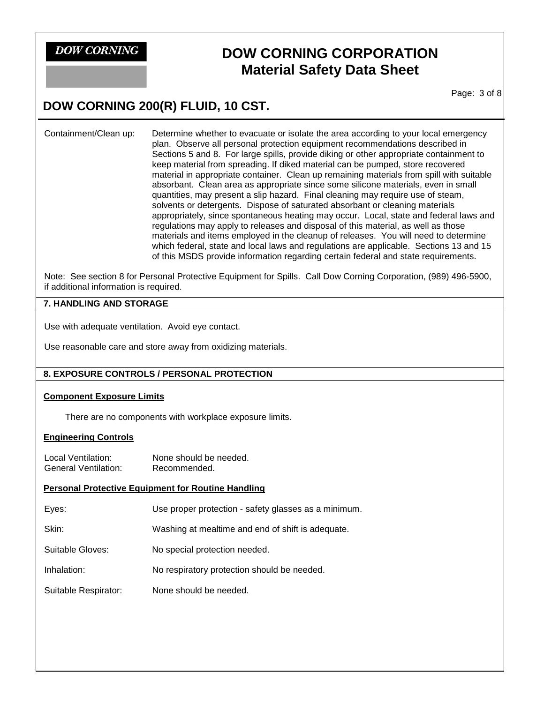# **DOW CORNING CORPORATION Material Safety Data Sheet**

Page: 3 of 8

# **DOW CORNING 200(R) FLUID, 10 CST.**

Containment/Clean up: Determine whether to evacuate or isolate the area according to your local emergency plan. Observe all personal protection equipment recommendations described in Sections 5 and 8. For large spills, provide diking or other appropriate containment to keep material from spreading. If diked material can be pumped, store recovered material in appropriate container. Clean up remaining materials from spill with suitable absorbant. Clean area as appropriate since some silicone materials, even in small quantities, may present a slip hazard. Final cleaning may require use of steam, solvents or detergents. Dispose of saturated absorbant or cleaning materials appropriately, since spontaneous heating may occur. Local, state and federal laws and regulations may apply to releases and disposal of this material, as well as those materials and items employed in the cleanup of releases. You will need to determine which federal, state and local laws and regulations are applicable. Sections 13 and 15 of this MSDS provide information regarding certain federal and state requirements.

Note: See section 8 for Personal Protective Equipment for Spills. Call Dow Corning Corporation, (989) 496-5900, if additional information is required.

### **7. HANDLING AND STORAGE**

Use with adequate ventilation. Avoid eye contact.

Use reasonable care and store away from oxidizing materials.

## **8. EXPOSURE CONTROLS / PERSONAL PROTECTION**

#### **Component Exposure Limits**

There are no components with workplace exposure limits.

## **Engineering Controls**

Local Ventilation: None should be needed. General Ventilation: Recommended.

## **Personal Protective Equipment for Routine Handling**

| Eyes: | Use proper protection - safety glasses as a minimum. |
|-------|------------------------------------------------------|
|-------|------------------------------------------------------|

Skin: Washing at mealtime and end of shift is adequate.

Suitable Gloves: No special protection needed.

Inhalation: No respiratory protection should be needed.

Suitable Respirator: None should be needed.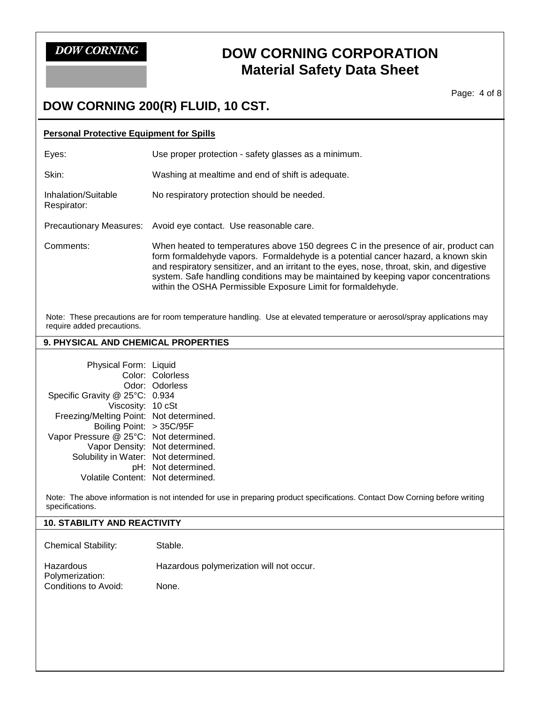# **DOW CORNING CORPORATION Material Safety Data Sheet**

Page: 4 of 8

# **DOW CORNING 200(R) FLUID, 10 CST.**

| <b>Personal Protective Equipment for Spills</b> |                                                                                                                                                                                                                                                                                                                                                                                                                              |  |
|-------------------------------------------------|------------------------------------------------------------------------------------------------------------------------------------------------------------------------------------------------------------------------------------------------------------------------------------------------------------------------------------------------------------------------------------------------------------------------------|--|
| Eyes:                                           | Use proper protection - safety glasses as a minimum.                                                                                                                                                                                                                                                                                                                                                                         |  |
| Skin:                                           | Washing at mealtime and end of shift is adequate.                                                                                                                                                                                                                                                                                                                                                                            |  |
| Inhalation/Suitable<br>Respirator:              | No respiratory protection should be needed.                                                                                                                                                                                                                                                                                                                                                                                  |  |
|                                                 | Precautionary Measures: Avoid eye contact. Use reasonable care.                                                                                                                                                                                                                                                                                                                                                              |  |
| Comments:                                       | When heated to temperatures above 150 degrees C in the presence of air, product can<br>form formaldehyde vapors. Formaldehyde is a potential cancer hazard, a known skin<br>and respiratory sensitizer, and an irritant to the eyes, nose, throat, skin, and digestive<br>system. Safe handling conditions may be maintained by keeping vapor concentrations<br>within the OSHA Permissible Exposure Limit for formaldehyde. |  |

Note: These precautions are for room temperature handling. Use at elevated temperature or aerosol/spray applications may require added precautions.

## **9. PHYSICAL AND CHEMICAL PROPERTIES**

| Physical Form: Liquid                   |                                |
|-----------------------------------------|--------------------------------|
|                                         | Color: Colorless               |
|                                         | Odor: Odorless                 |
| Specific Gravity @ 25°C: 0.934          |                                |
| Viscosity: 10 cSt                       |                                |
| Freezing/Melting Point: Not determined. |                                |
| Boiling Point: > 35C/95F                |                                |
| Vapor Pressure @ 25°C: Not determined.  |                                |
|                                         | Vapor Density: Not determined. |
| Solubility in Water: Not determined.    |                                |
|                                         | pH: Not determined.            |
| Volatile Content: Not determined.       |                                |

Note: The above information is not intended for use in preparing product specifications. Contact Dow Corning before writing specifications.

## **10. STABILITY AND REACTIVITY**

Chemical Stability: Stable.

| Hazardous            | Hazardous polymerization will not occur. |
|----------------------|------------------------------------------|
| Polymerization:      |                                          |
| Conditions to Avoid: | None.                                    |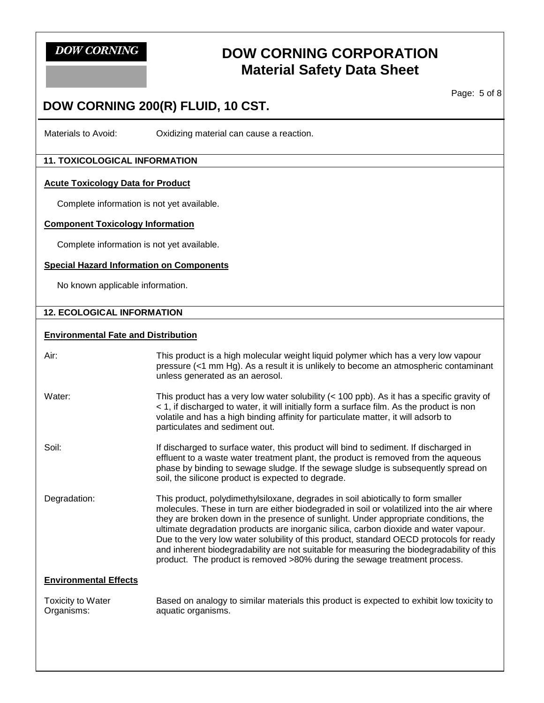# **DOW CORNING CORPORATION Material Safety Data Sheet**

Page: 5 of 8

# **DOW CORNING 200(R) FLUID, 10 CST.**

Materials to Avoid: Oxidizing material can cause a reaction.

## **11. TOXICOLOGICAL INFORMATION**

#### **Acute Toxicology Data for Product**

Complete information is not yet available.

### **Component Toxicology Information**

Complete information is not yet available.

## **Special Hazard Information on Components**

No known applicable information.

### **12. ECOLOGICAL INFORMATION**

#### **Environmental Fate and Distribution**

| Air:                                   | This product is a high molecular weight liquid polymer which has a very low vapour<br>pressure (<1 mm Hg). As a result it is unlikely to become an atmospheric contaminant<br>unless generated as an aerosol.                                                                                                                                                                                                                                                                                                                                                                                                                     |
|----------------------------------------|-----------------------------------------------------------------------------------------------------------------------------------------------------------------------------------------------------------------------------------------------------------------------------------------------------------------------------------------------------------------------------------------------------------------------------------------------------------------------------------------------------------------------------------------------------------------------------------------------------------------------------------|
| Water:                                 | This product has a very low water solubility $(< 100$ ppb). As it has a specific gravity of<br>< 1, if discharged to water, it will initially form a surface film. As the product is non<br>volatile and has a high binding affinity for particulate matter, it will adsorb to<br>particulates and sediment out.                                                                                                                                                                                                                                                                                                                  |
| Soil:                                  | If discharged to surface water, this product will bind to sediment. If discharged in<br>effluent to a waste water treatment plant, the product is removed from the aqueous<br>phase by binding to sewage sludge. If the sewage sludge is subsequently spread on<br>soil, the silicone product is expected to degrade.                                                                                                                                                                                                                                                                                                             |
| Degradation:                           | This product, polydimethylsiloxane, degrades in soil abiotically to form smaller<br>molecules. These in turn are either biodegraded in soil or volatilized into the air where<br>they are broken down in the presence of sunlight. Under appropriate conditions, the<br>ultimate degradation products are inorganic silica, carbon dioxide and water vapour.<br>Due to the very low water solubility of this product, standard OECD protocols for ready<br>and inherent biodegradability are not suitable for measuring the biodegradability of this<br>product. The product is removed >80% during the sewage treatment process. |
| <b>Environmental Effects</b>           |                                                                                                                                                                                                                                                                                                                                                                                                                                                                                                                                                                                                                                   |
| <b>Toxicity to Water</b><br>Organisms: | Based on analogy to similar materials this product is expected to exhibit low toxicity to<br>aquatic organisms.                                                                                                                                                                                                                                                                                                                                                                                                                                                                                                                   |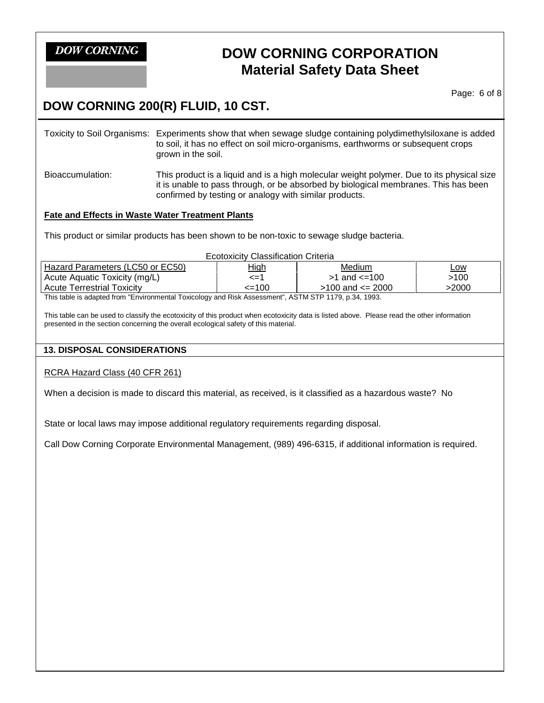# **DOW CORNING CORPORATION Material Safety Data Sheet**

Page: 6 of 8

# **DOW CORNING 200(R) FLUID, 10 CST.**

Toxicity to Soil Organisms: Experiments show that when sewage sludge containing polydimethylsiloxane is added to soil, it has no effect on soil micro-organisms, earthworms or subsequent crops grown in the soil. Bioaccumulation: This product is a liquid and is a high molecular weight polymer. Due to its physical size it is unable to pass through, or be absorbed by biological membranes. This has been confirmed by testing or analogy with similar products.

## **Fate and Effects in Waste Water Treatment Plants**

This product or similar products has been shown to be non-toxic to sewage sludge bacteria.

| <b>Ecotoxicity Classification Criteria</b>                                                            |             |                        |            |
|-------------------------------------------------------------------------------------------------------|-------------|------------------------|------------|
| Hazard Parameters (LC50 or EC50)                                                                      | <u>High</u> | Medium                 | <u>Low</u> |
| Acute Aquatic Toxicity (mg/L)                                                                         | $\leq$ =1   | $>1$ and $\leq 100$    | >100       |
| <b>Acute Terrestrial Toxicity</b>                                                                     | $\leq$ 100  | $>100$ and $\leq$ 2000 | >2000      |
| This table is adapted from "Environmental Toxicology and Risk Assessment". ASTM STP 1179, p.34, 1993. |             |                        |            |

This table is adapted from "Environmental Toxicology and Risk Assessment", ASTM STP 1179, p.34, 1993.

This table can be used to classify the ecotoxicity of this product when ecotoxicity data is listed above. Please read the other information presented in the section concerning the overall ecological safety of this material.

## **13. DISPOSAL CONSIDERATIONS**

RCRA Hazard Class (40 CFR 261)

When a decision is made to discard this material, as received, is it classified as a hazardous waste? No

State or local laws may impose additional regulatory requirements regarding disposal.

Call Dow Corning Corporate Environmental Management, (989) 496-6315, if additional information is required.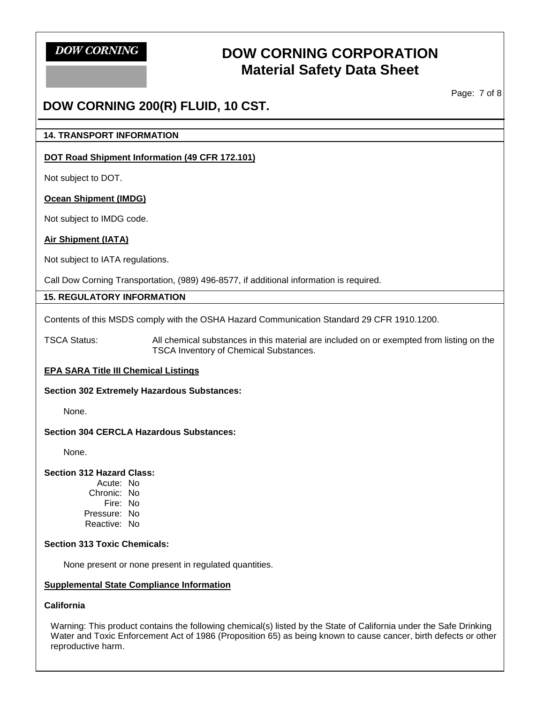# **DOW CORNING CORPORATION Material Safety Data Sheet**

Page: 7 of 8

# **DOW CORNING 200(R) FLUID, 10 CST.**

#### **14. TRANSPORT INFORMATION**

### **DOT Road Shipment Information (49 CFR 172.101)**

Not subject to DOT.

#### **Ocean Shipment (IMDG)**

Not subject to IMDG code.

## **Air Shipment (IATA)**

Not subject to IATA regulations.

Call Dow Corning Transportation, (989) 496-8577, if additional information is required.

#### **15. REGULATORY INFORMATION**

Contents of this MSDS comply with the OSHA Hazard Communication Standard 29 CFR 1910.1200.

TSCA Status: All chemical substances in this material are included on or exempted from listing on the TSCA Inventory of Chemical Substances.

## **EPA SARA Title III Chemical Listings**

#### **Section 302 Extremely Hazardous Substances:**

None.

#### **Section 304 CERCLA Hazardous Substances:**

None.

#### **Section 312 Hazard Class:**

Acute: No Chronic: No Fire: No Pressure: No Reactive: No

#### **Section 313 Toxic Chemicals:**

None present or none present in regulated quantities.

#### **Supplemental State Compliance Information**

## **California**

Warning: This product contains the following chemical(s) listed by the State of California under the Safe Drinking Water and Toxic Enforcement Act of 1986 (Proposition 65) as being known to cause cancer, birth defects or other reproductive harm.